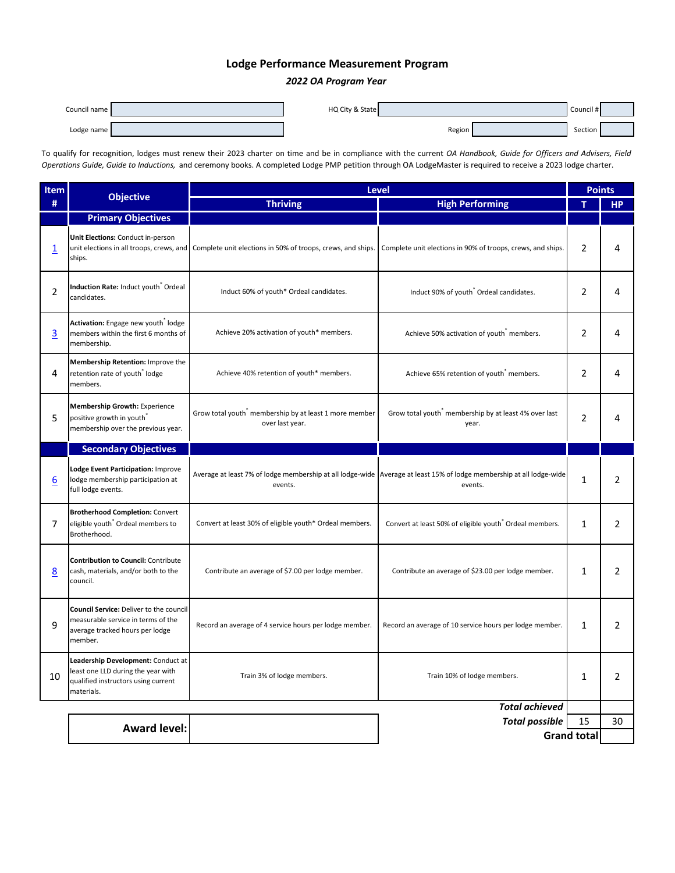## **Lodge Performance Measurement Program**

## *2022 OA Program Year*

| Council name | HQ City & State |        | Council # |  |
|--------------|-----------------|--------|-----------|--|
| Lodge name   |                 | Region | Section   |  |

To qualify for recognition, lodges must renew their 2023 charter on time and be in compliance with the current *OA Handbook, Guide for Officers and Advisers, Field Operations Guide, Guide to Inductions,* and ceremony books. A completed Lodge PMP petition through OA LodgeMaster is required to receive a 2023 lodge charter.

| <b>Item</b>    | <b>Objective</b>                                                                                                              | <b>Level</b>                                                                                         |                                                                                                                                 |                    | <b>Points</b> |  |
|----------------|-------------------------------------------------------------------------------------------------------------------------------|------------------------------------------------------------------------------------------------------|---------------------------------------------------------------------------------------------------------------------------------|--------------------|---------------|--|
| #              |                                                                                                                               | <b>Thriving</b>                                                                                      | <b>High Performing</b>                                                                                                          | т                  | <b>HP</b>     |  |
|                | <b>Primary Objectives</b>                                                                                                     |                                                                                                      |                                                                                                                                 |                    |               |  |
| 1              | Unit Elections: Conduct in-person<br>ships.                                                                                   | unit elections in all troops, crews, and Complete unit elections in 50% of troops, crews, and ships. | Complete unit elections in 90% of troops, crews, and ships.                                                                     |                    | 4             |  |
| $\overline{2}$ | Induction Rate: Induct youth Ordeal<br>candidates.                                                                            | Induct 60% of youth* Ordeal candidates.                                                              | Induct 90% of youth <sup>*</sup> Ordeal candidates.                                                                             | $\overline{2}$     | 4             |  |
| $\overline{3}$ | Activation: Engage new youth lodge<br>members within the first 6 months of<br>membership.                                     | Achieve 20% activation of youth* members.                                                            | Achieve 50% activation of youth members.                                                                                        |                    | 4             |  |
| 4              | Membership Retention: Improve the<br>retention rate of youth lodge<br>members.                                                | Achieve 40% retention of youth* members.                                                             | Achieve 65% retention of youth <sup>*</sup> members.                                                                            |                    | 4             |  |
| 5              | <b>Membership Growth: Experience</b><br>positive growth in youth<br>membership over the previous year.                        | Grow total youth membership by at least 1 more member<br>over last year.                             | Grow total youth <sup>*</sup> membership by at least 4% over last<br>year.                                                      | $\overline{2}$     | 4             |  |
|                | <b>Secondary Objectives</b>                                                                                                   |                                                                                                      |                                                                                                                                 |                    |               |  |
| <u>6</u>       | Lodge Event Participation: Improve<br>lodge membership participation at<br>full lodge events.                                 | events.                                                                                              | Average at least 7% of lodge membership at all lodge-wide Average at least 15% of lodge membership at all lodge-wide<br>events. | 1                  | 2             |  |
| $\overline{7}$ | <b>Brotherhood Completion: Convert</b><br>eligible youth <sup>*</sup> Ordeal members to<br>Brotherhood.                       | Convert at least 30% of eligible youth* Ordeal members.                                              | Convert at least 50% of eligible youth <sup>*</sup> Ordeal members.                                                             | $\mathbf{1}$       | 2             |  |
| <u>8</u>       | <b>Contribution to Council: Contribute</b><br>cash, materials, and/or both to the<br>council.                                 | Contribute an average of \$7.00 per lodge member.                                                    | Contribute an average of \$23.00 per lodge member.                                                                              | 1                  | 2             |  |
| 9              | Council Service: Deliver to the council<br>measurable service in terms of the<br>average tracked hours per lodge<br>member.   | Record an average of 4 service hours per lodge member.                                               | Record an average of 10 service hours per lodge member.                                                                         | $\mathbf{1}$       | 2             |  |
| 10             | Leadership Development: Conduct at<br>least one LLD during the year with<br>qualified instructors using current<br>materials. | Train 3% of lodge members.                                                                           | Train 10% of lodge members.                                                                                                     | 1                  | 2             |  |
|                | <b>Total achieved</b>                                                                                                         |                                                                                                      |                                                                                                                                 |                    |               |  |
|                | <b>Award level:</b>                                                                                                           |                                                                                                      | <b>Total possible</b>                                                                                                           | 15                 | 30            |  |
|                |                                                                                                                               |                                                                                                      |                                                                                                                                 | <b>Grand total</b> |               |  |